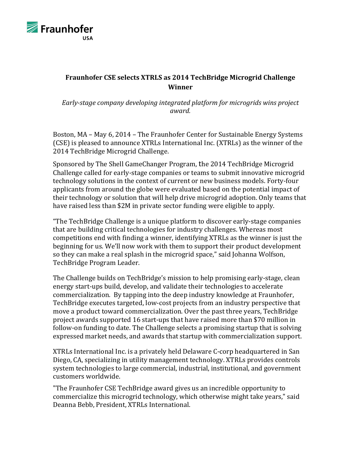

## **Fraunhofer CSE selects XTRLS as 2014 TechBridge Microgrid Challenge Winner**

*Early-stage company developing integrated platform for microgrids wins project award.*

Boston, MA – May 6, 2014 – The Fraunhofer Center for Sustainable Energy Systems (CSE) is pleased to announce XTRLs International Inc. (XTRLs) as the winner of the 2014 TechBridge Microgrid Challenge.

Sponsored by The Shell GameChanger Program, the 2014 TechBridge Microgrid Challenge called for early-stage companies or teams to submit innovative microgrid technology solutions in the context of current or new business models. Forty-four applicants from around the globe were evaluated based on the potential impact of their technology or solution that will help drive microgrid adoption. Only teams that have raised less than \$2M in private sector funding were eligible to apply.

"The  $TechBridge$  Challenge is a unique platform to discover early-stage companies that are building critical technologies for industry challenges. Whereas most competitions end with finding a winner, identifying XTRLs as the winner is just the beginning for us. We'll now work with them to support their product development so they can make a real splash in the microgrid space," said Johanna Wolfson, TechBridge Program Leader.

The Challenge builds on TechBridge's mission to help promising early-stage, clean energy start-ups build, develop, and validate their technologies to accelerate commercialization. By tapping into the deep industry knowledge at Fraunhofer, TechBridge executes targeted, low-cost projects from an industry perspective that move a product toward commercialization. Over the past three years, TechBridge project awards supported 16 start-ups that have raised more than \$70 million in follow-on funding to date. The Challenge selects a promising startup that is solving expressed market needs, and awards that startup with commercialization support.

XTRLs International Inc. is a privately held Delaware C-corp headquartered in San Diego, CA, specializing in utility management technology. XTRLs provides controls system technologies to large commercial, industrial, institutional, and government customers worldwide.

"The Fraunhofer CSE TechBridge award gives us an incredible opportunity to commercialize this microgrid technology, which otherwise might take years," said Deanna Bebb, President, XTRLs International.